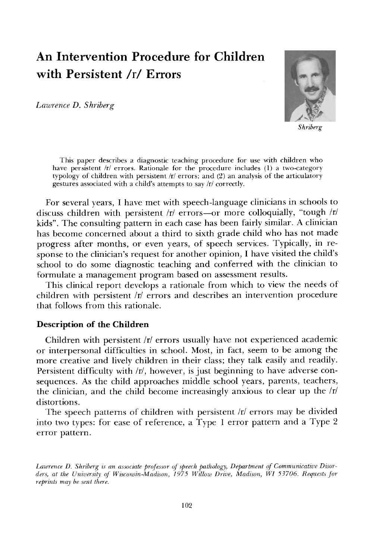# **An Intervention Procedure for Children with Persistent/r/Errors**

*Lawrence D. Shriberg* 



*Shriberg* 

This paper describes a diagnostic teaching procedure for use with children who have persistent /r/ errors. Rationale for the procedure includes (1) a two-category typology of children with persistent  $|r|$  errors; and (2) an analysis of the articulatory gestures associated with a child's attempts to say/r/correctly.

For several years, I have met with speech-language clinicians in schools to discuss children with persistent /r/ errors--or more colloquially, "tough /r/ kids". The consulting pattern in each case has been fairly similar. A clinician has become concerned about a third to sixth grade child who has not made progress after months, or even years, of speech services. Typically, in response to the clinician's request for another opinion, I have visited the child's school to do some diagnostic teaching and conferred with the clinician to formulate a management program based on assessment results.

This clinical report develops a rationale from which to view the needs of children with persistent/r/ errors and describes an intervention procedure that follows from this rationale.

## **Description of the Children**

Children with persistent /r/ errors usually have not experienced academic or interpersonal difficulties in school. Most, in fact, seem to be among the more creative and lively children in their class; they talk easily and readily. Persistent difficulty with/r/, however, is just beginning to have adverse consequences. As the child approaches middle school years, parents, teachers, the clinician, and the child become increasingly anxious to clear up the  $\pi$ distortions.

The speech patterns of children with persistent  $|r|$  errors may be divided into two types: for ease of reference, a Type 1 error pattern and a Type 2 error pattern.

Lawrence D. Shriberg is an associate professor of speech pathology, Department of Communicative Disor*do's, at the University of Wisconsin-Madison, 1975 Willow Drive, Madison, W1 53706. Requests Jbr reprints may be sent there.*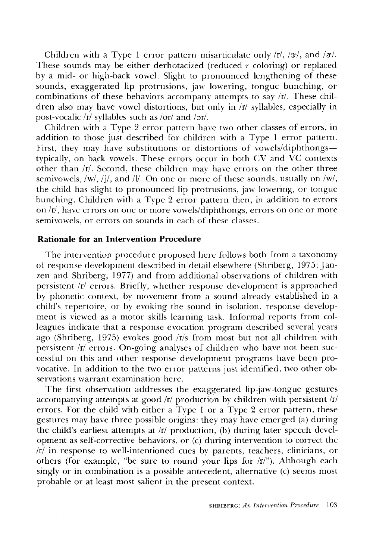Children with a Type 1 error pattern misarticulate only  $\pi$ ,  $\frac{1}{3}$ , and  $\frac{1}{\pi}$ . These sounds may be either derhotacized (reduced  $r$  coloring) or replaced by a mid- or high-back vowel. Slight to pronounced lengthening of these sounds, exaggerated lip protrusions, jaw lowering, tongue bunching, or combinations of these behaviors accompany attempts to say /r/. These children also may have vowel distortions, but only in  $\pi$  syllables, especially in post-vocalic/r/syllables such as/or/and/or/.

Children with a Type 2 error pattern have two other classes of errors, in addition to those just described for children with a Type 1 error pattern. First, they may have substitutions or distortions of vowels/diphthongstypically, on back vowels. These errors occur in both CV and  $\overline{VC}$  contexts other than /r/. Second, these children may have errors on the other three semivowels,  $\langle w \rangle$ ,  $\langle i \rangle$ , and  $\langle v \rangle$ . On one or more of these sounds, usually on  $\langle w \rangle$ , the child has slight to pronounced lip protrusions, jaw lowering, or tongue bunching. Children with a Type 2 error pattern then, in addition to errors on/r/, have errors on one or more vowels/diphthongs, errors on one or more semivowels, or errors on sounds in each of these classes.

# **Rationale for an Intervention Procedure**

The intervention procedure proposed here follows both from a taxonomy of response development described in detail elsewhere (Shriberg, 1975; Janzen and Shriberg, 1977) and from additional observations of children with persistent /r/ errors. Briefly, whether response development is approached by phonetic context, by movement from a sound already established in a child's repertoire, or by evoking the sound in isolation, response development is viewed as a motor skills learning task. Informal reports from colleagues indicate that a response evocation program described several years ago (Shriberg, 1975) evokes good /r/s from most but not all children with persistent /r/ errors. On-going analyses of children who have not been successful on this and other response development programs have been provocative. In addition to the two error patterns just identified, two other observations warrant examination here.

The first observation addresses the exaggerated lip-jaw-tongue gestures accompanying attempts at good  $\pi$  production by children with persistent  $\pi$ errors. For the child with either a Type 1 or a Type 2 error pattern, these gestures may have three possible origins: they may have emerged (a) during the child's earliest attempts at  $|r|$  production, (b) during later speech development as self-corrective behaviors, or (c) during intervention to correct the  $/r$  in response to well-intentioned cues by parents, teachers, clinicians, or others (for example, "be sure to round your lips for /r/"). Although each singly or in combination is a possible antecedent, alternative (c) seems most probable or at least most salient in the present context.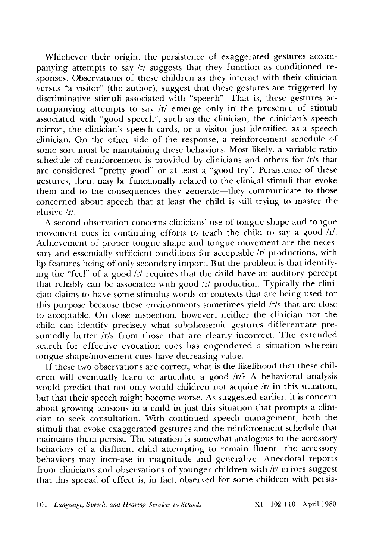Whichever their origin, the persistence of exaggerated gestures accompanying attempts to say /r/ suggests that they function as conditioned responses. Observations of these children as they interact with their clinician versus "a visitor" (the author), suggest that these gestures are triggered by discriminative stimuli associated with "speech". That is, these gestures accompanying attempts to say /r/ emerge only in the presence of stimuli associated with "good speech", such as the clinician, the clinician's speech mirror, the clinician's speech cards, or a visitor just identified as a speech clinician. On the other side of the response, a reinforcement schedule of some sort must be maintaining these behaviors. Most likely, a variable ratio schedule of reinforcement is provided by clinicians and others for /r/s that are considered "pretty good" or at least a "good try". Persistence of these gestures, then, may be functionally related to the clinical stimuli that evoke them and to the consequences they generate—they communicate to those concerned about speech that at least the child is still trying to master the elusive/r/.

A second observation concerns clinicians' use of tongue shape and tongue movement cues in continuing efforts to teach the child to say a good /r/. Achievement of proper tongue shape and tongue movement are the necessary and essentially sufficient conditions for acceptable /r/ productions, with lip features being of only secondary import. But the problem is that identifying the "feel" of a good  $/r$  requires that the child have an auditory percept that reliably can be associated with good /r/ production. Typically the clinician claims to have some stimulus words or contexts that are being used for this purpose because these environments sometimes yield/r/s that are close to acceptable. On close inspection, however, neither the clinician nor the child can identify precisely what subphonemic gestures differentiate presumedly better /r/s from those that are clearly incorrect. The extended search for effective evocation cues has engendered a situation wherein tongue shape/movement cues have decreasing value.

If these two observations are correct, what is the likelihood that these children will eventually learn to articulate a good /r/? A behavioral analysis would predict that not only would children not acquire /r/ in this situation, but that their speech might become worse. As suggested earlier, it is concern about growing tensions in a child in just this situation that prompts a clinician to seek consultation. With continued speech management, both the stimuli that evoke exaggerated gestures and the reinforcement schedule that maintains them persist. The situation is somewhat analogous to the accessory behaviors of a disfluent child attempting to remain fluent--the accessory behaviors may increase in magnitude and generalize. Anecdotal reports from clinicians and observations of younger children with /r/ errors suggest that this spread of effect is, in fact, observed for some children with persis-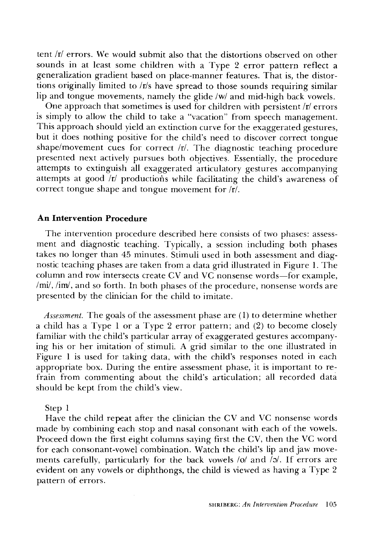tent/r/ errors. We would submit also that the distortions observed on other sounds in at least some children with a Type 2 error pattern reflect a generalization gradient based on place-manner features. That is, the distortions originally limited to/r/s have spread to those sounds requiring similar lip and tongue movements, namely the glide/w/and mid-high back vowels.

One approach that sometimes is used for children with persistent  $/r$  errors is simply to allow the child to take a "vacation" from speech management. This approach should yield an extinction curve for the exaggerated gestures, but it does nothing positive for the child's need to discover correct tongue shape/movement cues for correct /r/. The diagnostic teaching procedure presented next actively pursues both objectives. Essentially, the procedure attempts to extinguish all exaggerated articulatory gestures accompanying attempts at good  $\overline{r}$  productions while facilitating the child's awareness of correct tongue shape and tongue movement for  $\overline{r}$ .

# **An Intervention Procedure**

The intervention procedure described here consists of two phases: assessment and diagnostic teaching. Typically, a session including both phases takes no longer than 45 minutes. Stimuli used in both assessment and diagnostic teaching phases are taken from a data grid illustrated in Figure 1. The column and row intersects create CV and VC nonsense words-for example, /mi/, /im/, and so forth. In both phases of the procedure, nonsense words are presented by the clinician for the child to imitate.

*Assessment.* The goals of the assessment phase are (1) to determine whether a child has a Type 1 or a Type 2 error pattern; and (2) to become closely familiar with the child's particular array of exaggerated gestures accompanying his or her imitation of stimuli. A grid similar to the one illustrated in Figure 1 is used for taking data, with the child's responses noted in each appropriate box. During the entire assessment phase, it is important to refrain from commenting about the child's articulation; all recorded data should be kept from the child's view.

Step 1

Have the child repeat after the clinician the CV and VC nonsense words made by combining each stop and nasal consonant with each of the vowels. Proceed down the first eight columns saying first the CV, then the VC word for each consonant-vowel combination. Watch the child's lip and jaw movements carefully, particularly for the back vowels  $\alpha$  and  $\beta$ . If errors are evident on any vowels or diphthongs, the child is viewed as having a Type 2 pattern of errors.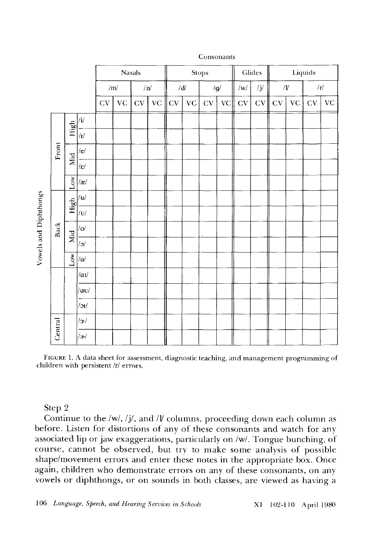

#### Consonants

FIGURE 1. A data sheet for assessment, diagnostic teaching, and management programming of children with persistent /r/ errors.

Step 2

Continue to the /w/, /j/, and /l/ columns, proceeding down each column as before. Listen for distortions of any of these consonants and watch for any associated lip or jaw exaggerations, particularly on/w/. Tongue bunching, of course, cannot be observed, but try to make some analysis of possible shape/movement errors and enter these notes in the appropriate box. Once again, children who demonstrate errors on any of these consonants, on any vowels or diphthongs, or on sounds in both classes, are viewed as having a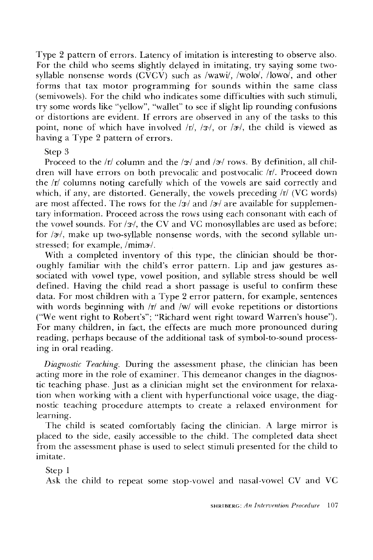Type 2 pattern of errors. Latency of imitation is interesting to observe also. For the child who seems slightly delayed in imitating, try saying some twosyllable nonsense words  $(C\widetilde{V}C\widetilde{V})$  such as /wawi/, /wolo/, /lowo/, and other forms that tax motor programming for sounds within the same class (semivowels). For the child who indicates some difficulties with such stimuli, try some words like "yellow", "wallet" to see if slight lip rounding confusions or distortions are evident. If errors are observed in any of the tasks to this point, none of which have involved  $\langle r \rangle$ ,  $\langle 3 \rangle$ , or  $\langle 3 \rangle$ , the child is viewed as having a Type 2 pattern of errors.

# Step 3

Proceed to the /r/ column and the /x/ and /x/ rows. By definition, all children will have errors on both prevocalic and postvocalic /r/. Proceed down the/r/ columns noting carefully which of the vowels are said correctly and which, if any, are distorted. Generally, the vowels preceding  $\pi$  (VC words) are most affected. The rows for the  $\frac{x}{a}$  and  $\frac{x}{a}$  are available for supplementary information. Proceed across the rows using each consonant with each of the vowel sounds. For  $\sqrt{x}$ , the CV and VC monosyllables are used as before; for  $|x|$ , make up two-syllable nonsense words, with the second syllable unstressed; for example, /mima/.

With a completed inventory of this type, the clinician should be thoroughly familiar with the child's error pattern. Lip and jaw gestures associated with vowel type, vowel position, and syllable stress should be well defined. Having the child read a short passage is useful to confirm these data. For most children with a Type 2 error pattern, for example, sentences with words beginning with /r/ and /w/ will evoke repetitions or distortions ("We went right to Robert's"; "Richard went right toward Warren's house"). For many children, in fact, the effects are much more pronounced during reading, perhaps because of the additional task of symbol-to-sound processing in oral reading.

*Diagnostic Teaching.* During the assessment phase, the clinician has been acting more in the role of examiner. This demeanor changes in the diagnostic teaching phase. Just as a clinician might set the environment for relaxation when working with a client with hyperfunctional voice usage, the diagnostic teaching procedure attempts to create a relaxed environment for learning.

The child is seated comfortably facing the clinician. A large mirror is placed to the side, easily accessible to the child. The completed data sheet from the assessment phase is used to select stimuli presented for the child to imitate.

Step 1

Ask the child to repeat some stop-vowel and nasal-vowel CV and VC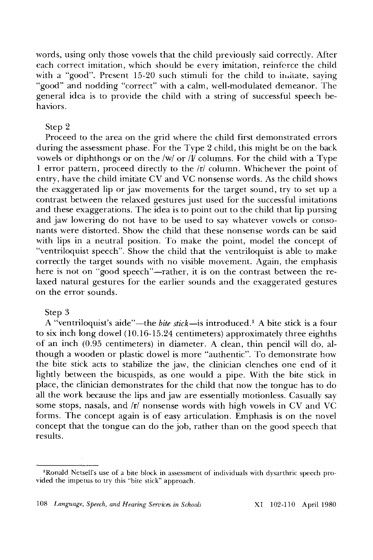words, using only those vowels that the child previously said correctly. After each correct imitation, which should be every imitation, reinforce the child with a "good". Present 15-20 such stimuli for the child to imitate, saying "good" and nodding "correct" with a calm, well-modulated demeanor. The general idea is to provide the child with a string of successful speech behaviors.

# Step 2

Proceed to the area on the grid where the child first demonstrated errors during the assessment phase. For the Type 2 child, this might be on the back vowels or diphthongs or on the /w/ or  $\hat{N}$  columns. For the child with a Type 1 error pattern, proceed directly to the/r/column. Whichever the point of entry, have the child imitate CV and VC nonsense words. As the child shows the exaggerated lip or jaw movements for the target sound, try to set up a contrast between the relaxed gestures just used for the successful imitations and these exaggerations. The idea is to point out to the child that lip pursing and jaw lowering do not have to be used to say whatever vowels or consonants were distorted. Show the child that these nonsense words can be said with lips in a neutral position. To make the point, model the concept of "ventriloquist speech". Show the child that the ventriloquist is able to make correctly the target sounds with no visible movement. Again, the emphasis here is not on "good speech"—rather, it is on the contrast between the relaxed natural gestures for the earlier sounds and the exaggerated gestures on the error sounds.

#### Step 3

A "ventriloquist's aide"—the *bite stick*—is introduced.<sup>1</sup> A bite stick is a four to six inch long dowel (10.16-15.24 centimeters) approximately three eighths of an inch (0.95 centimeters) in diameter. A clean, thin pencil will do, although a wooden or plastic dowel is more "authentic". To demonstrate how the bite stick acts to stabilize the jaw, the clinician clenches one end of it lightly between the bicuspids, as one would a pipe. With the bite stick in place, the clinician demonstrates for the child that now the tongue has to do all the work because the lips and jaw are essentially motionless. Casually say some stops, nasals, and  $\pi$  nonsense words with high vowels in CV and VC forms. The concept again is of easy articulation. Emphasis is on the novel concept that the tongue can do the job, rather than on the good speech that results.

<sup>1</sup>Ronald Netsell's use of a bite block in assessment of individuals with dysarthric speech provided the impetus to try this "bite stick" approach.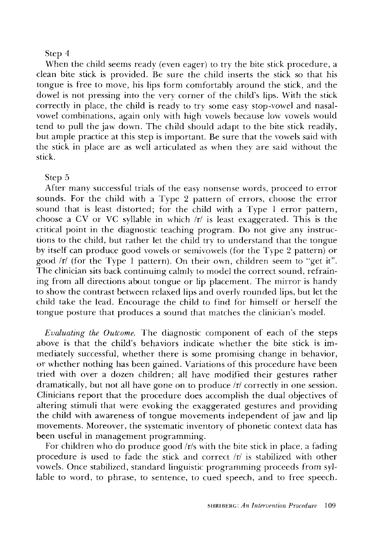#### Step 4

When the child seems ready (even eager) to try the bite stick procedure, a clean bite stick is provided. Be sure the child inserts the stick so that his tongue is free to move, his lips form comfortably around the stick, and the dowel is not pressing into the very corner of the child's lips. With the stick correctly in place, the child is ready to try some easy stop-vowel and nasalvowel combinations, again only with high vowels because low vowels would tend to pull the jaw down. The child should adapt to the bite stick readily, but ample practice at this step is important. Be sure that the vowels said with the stick in place are as well articulated as when they are said without the stick.

#### Step 5

After many successful trials of the easy nonsense words, proceed to error sounds. For the child with a Type 2 pattern of errors, choose the error sound that is least distorted; for the child with a Type 1 error pattern, choose a CV or VC syllable in which  $|r|$  is least exaggerated. This is the critical point in the diagnostic teaching program. Do not give any instructions to the child, but rather let the child try to understand that the tongue by itself can produce good vowels or semivowels (for the Type 2 pattern) or good/r/ (for the Type 1 pattern). On their own, children seem to "get it". The clinician sits back continuing calmly to model the correct sound, refraining from all directions about tongue or lip placement. The mirror is handy to show the contrast between relaxed lips and overly rounded lips, but let the child take the lead. Encourage the child to find for himself or herself the tongue posture that produces a sound that matches the clinician's model.

*Evaluating the Outcome.* The diagnostic component of each of the steps above is that the child's behaviors indicate whether the bite stick is immediately successful, whether there is some promising change in behavior, or whether nothing has been gained. Variations of this procedure have been tried with over a dozen children; all have modified their gestures rather dramatically, but not all have gone on to produce  $|r|$  correctly in one session. Clinicians report that the procedure does accomplish the dual objectives of altering stimuli that were evoking the exaggerated gestures and providing the child with awareness of tongue movements independent of jaw and lip movements. Moreover, the systematic inventory of phonetic context data has been useful in management programming.

For children who do produce good /r/s with the bite stick in place, a fading procedure is used to fade the stick and correct /r/ is stabilized with other vowels. Once stabilized, standard linguistic programming proceeds from syllable to word, to phrase, to sentence, to cued speech, and to free speech.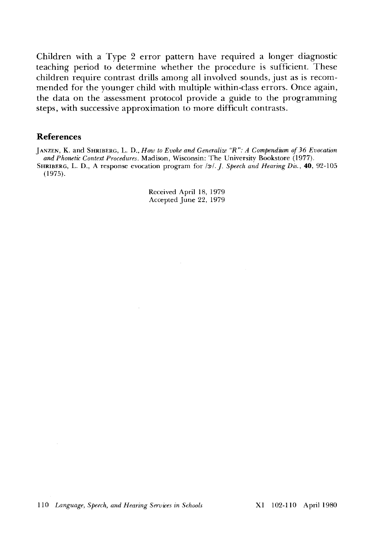Children with a Type 2 error pattern have required a longer diagnostic teaching period to determine whether the procedure is sufficient. These children require contrast drills among all involved sounds, just as is recommended for the younger child with multiple within-class errors. Once again, the data on the assessment protocol provide a guide to the programming steps, with successive approximation to more difficult contrasts.

### **References**

JANZEN, K. and SHRmERG, L. D., *How to Evoke and Generalize "R": A Compendium of 36 Evocation and Phonetic Context Procedures.* Madison, Wisconsin: The University Bookstore (1977). SHRIBERG, L. D., A response evocation program for /x<sup>1</sup>. J. *Speech and Hearing Dis.*, **40**, 92-105 (1975).

> Received April 18, 1979 Accepted June 22, 1979